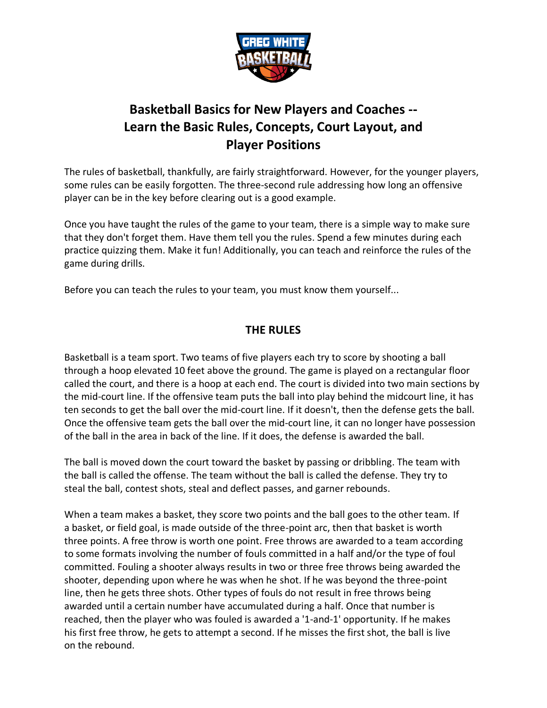

# **Basketball Basics for New Players and Coaches -- Learn the Basic Rules, Concepts, Court Layout, and Player Positions**

The rules of basketball, thankfully, are fairly straightforward. However, for the younger players, some rules can be easily forgotten. The three-second rule addressing how long an offensive player can be in the key before clearing out is a good example.

Once you have taught the rules of the game to your team, there is a simple way to make sure that they don't forget them. Have them tell you the rules. Spend a few minutes during each practice quizzing them. Make it fun! Additionally, you can teach and reinforce the rules of the game during drills.

Before you can teach the rules to your team, you must know them yourself...

# **THE RULES**

Basketball is a team sport. Two teams of five players each try to score by shooting a ball through a hoop elevated 10 feet above the ground. The game is played on a rectangular floor called the court, and there is a hoop at each end. The court is divided into two main sections by the mid-court line. If the offensive team puts the ball into play behind the midcourt line, it has ten seconds to get the ball over the mid-court line. If it doesn't, then the defense gets the ball. Once the offensive team gets the ball over the mid-court line, it can no longer have possession of the ball in the area in back of the line. If it does, the defense is awarded the ball.

The ball is moved down the court toward the basket by passing or dribbling. The team with the ball is called the offense. The team without the ball is called the defense. They try to steal the ball, contest shots, steal and deflect passes, and garner rebounds.

When a team makes a basket, they score two points and the ball goes to the other team. If a basket, or field goal, is made outside of the three-point arc, then that basket is worth three points. A free throw is worth one point. Free throws are awarded to a team according to some formats involving the number of fouls committed in a half and/or the type of foul committed. Fouling a shooter always results in two or three free throws being awarded the shooter, depending upon where he was when he shot. If he was beyond the three-point line, then he gets three shots. Other types of fouls do not result in free throws being awarded until a certain number have accumulated during a half. Once that number is reached, then the player who was fouled is awarded a '1-and-1' opportunity. If he makes his first free throw, he gets to attempt a second. If he misses the first shot, the ball is live on the rebound.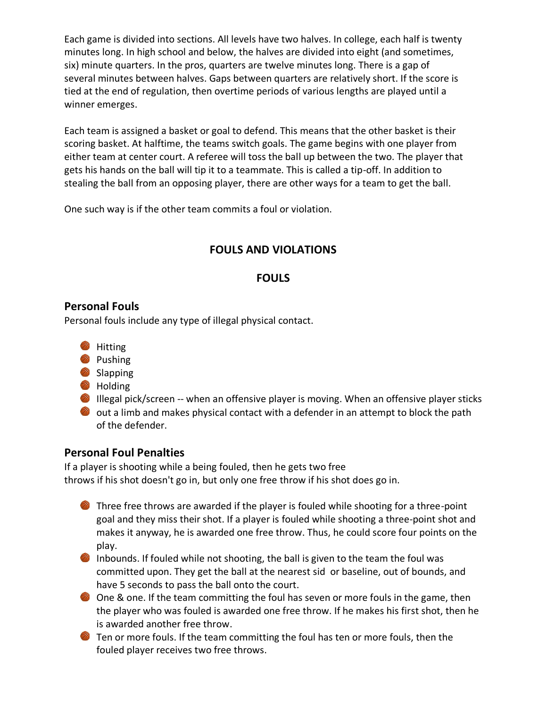Each game is divided into sections. All levels have two halves. In college, each half is twenty minutes long. In high school and below, the halves are divided into eight (and sometimes, six) minute quarters. In the pros, quarters are twelve minutes long. There is a gap of several minutes between halves. Gaps between quarters are relatively short. If the score is tied at the end of regulation, then overtime periods of various lengths are played until a winner emerges.

Each team is assigned a basket or goal to defend. This means that the other basket is their scoring basket. At halftime, the teams switch goals. The game begins with one player from either team at center court. A referee will toss the ball up between the two. The player that gets his hands on the ball will tip it to a teammate. This is called a tip-off. In addition to stealing the ball from an opposing player, there are other ways for a team to get the ball.

One such way is if the other team commits a foul or violation.

# **FOULS AND VIOLATIONS**

## **FOULS**

#### **Personal Fouls**

Personal fouls include any type of illegal physical contact.

- **Hitting**
- **Pushing**
- Slapping
- **B** Holding
- Illegal pick/screen -- when an offensive player is moving. When an offensive player sticks
- $\bullet$  out a limb and makes physical contact with a defender in an attempt to block the path of the defender.

## **Personal Foul Penalties**

If a player is shooting while a being fouled, then he gets two free throws if his shot doesn't go in, but only one free throw if his shot does go in.

- Three free throws are awarded if the player is fouled while shooting for a three-point goal and they miss their shot. If a player is fouled while shooting a three-point shot and makes it anyway, he is awarded one free throw. Thus, he could score four points on the play.
- Inbounds. If fouled while not shooting, the ball is given to the team the foul was committed upon. They get the ball at the nearest sid or baseline, out of bounds, and have 5 seconds to pass the ball onto the court.
- One & one. If the team committing the foul has seven or more fouls in the game, then the player who was fouled is awarded one free throw. If he makes his first shot, then he is awarded another free throw.
- **The Step 2** Ten or more fouls. If the team committing the foul has ten or more fouls, then the fouled player receives two free throws.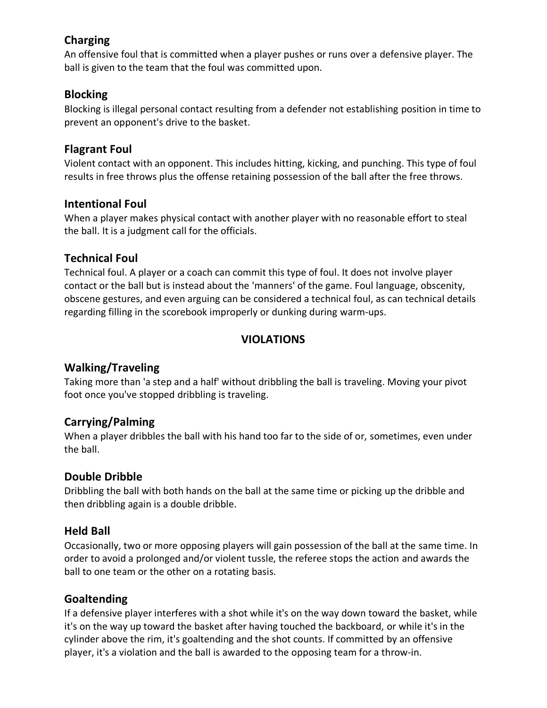# **Charging**

An offensive foul that is committed when a player pushes or runs over a defensive player. The ball is given to the team that the foul was committed upon.

### **Blocking**

Blocking is illegal personal contact resulting from a defender not establishing position in time to prevent an opponent's drive to the basket.

### **Flagrant Foul**

Violent contact with an opponent. This includes hitting, kicking, and punching. This type of foul results in free throws plus the offense retaining possession of the ball after the free throws.

#### **Intentional Foul**

When a player makes physical contact with another player with no reasonable effort to steal the ball. It is a judgment call for the officials.

### **Technical Foul**

Technical foul. A player or a coach can commit this type of foul. It does not involve player contact or the ball but is instead about the 'manners' of the game. Foul language, obscenity, obscene gestures, and even arguing can be considered a technical foul, as can technical details regarding filling in the scorebook improperly or dunking during warm-ups.

# **VIOLATIONS**

## **Walking/Traveling**

Taking more than 'a step and a half' without dribbling the ball is traveling. Moving your pivot foot once you've stopped dribbling is traveling.

## **Carrying/Palming**

When a player dribbles the ball with his hand too far to the side of or, sometimes, even under the ball.

## **Double Dribble**

Dribbling the ball with both hands on the ball at the same time or picking up the dribble and then dribbling again is a double dribble.

#### **Held Ball**

Occasionally, two or more opposing players will gain possession of the ball at the same time. In order to avoid a prolonged and/or violent tussle, the referee stops the action and awards the ball to one team or the other on a rotating basis.

## **Goaltending**

If a defensive player interferes with a shot while it's on the way down toward the basket, while it's on the way up toward the basket after having touched the backboard, or while it's in the cylinder above the rim, it's goaltending and the shot counts. If committed by an offensive player, it's a violation and the ball is awarded to the opposing team for a throw-in.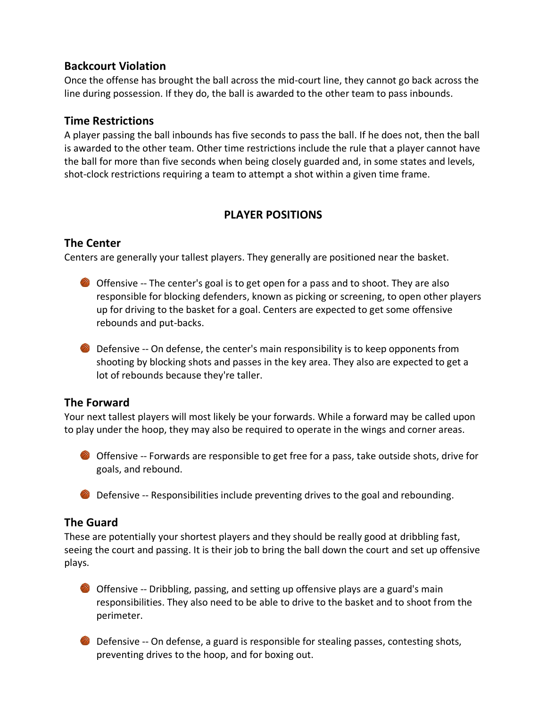#### **Backcourt Violation**

Once the offense has brought the ball across the mid-court line, they cannot go back across the line during possession. If they do, the ball is awarded to the other team to pass inbounds.

#### **Time Restrictions**

A player passing the ball inbounds has five seconds to pass the ball. If he does not, then the ball is awarded to the other team. Other time restrictions include the rule that a player cannot have the ball for more than five seconds when being closely guarded and, in some states and levels, shot-clock restrictions requiring a team to attempt a shot within a given time frame.

# **PLAYER POSITIONS**

# **The Center**

Centers are generally your tallest players. They generally are positioned near the basket.

- Offensive -- The center's goal is to get open for a pass and to shoot. They are also responsible for blocking defenders, known as picking or screening, to open other players up for driving to the basket for a goal. Centers are expected to get some offensive rebounds and put-backs.
- **O** Defensive -- On defense, the center's main responsibility is to keep opponents from shooting by blocking shots and passes in the key area. They also are expected to get a lot of rebounds because they're taller.

## **The Forward**

Your next tallest players will most likely be your forwards. While a forward may be called upon to play under the hoop, they may also be required to operate in the wings and corner areas.

- Offensive -- Forwards are responsible to get free for a pass, take outside shots, drive for goals, and rebound.
- **Defensive -- Responsibilities include preventing drives to the goal and rebounding.**

# **The Guard**

These are potentially your shortest players and they should be really good at dribbling fast, seeing the court and passing. It is their job to bring the ball down the court and set up offensive plays.

- Offensive -- Dribbling, passing, and setting up offensive plays are a guard's main responsibilities. They also need to be able to drive to the basket and to shoot from the perimeter.
- **O** Defensive -- On defense, a guard is responsible for stealing passes, contesting shots, preventing drives to the hoop, and for boxing out.